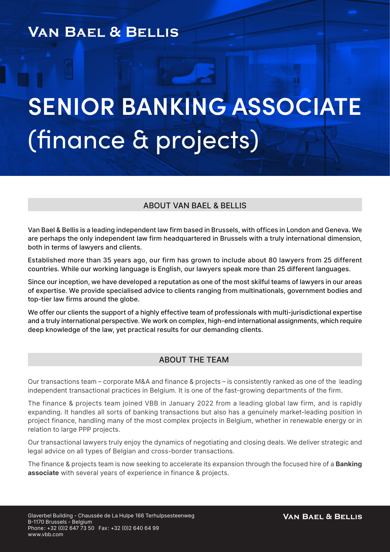# **VAN BAEL & BELLIS**

# **SENIOR BANKING ASSOCIATE** (finance & projects)

### ABOUT VAN BAEL & BELLIS

Van Bael & Bellis is a leading independent law firm based in Brussels, with offices in London and Geneva. We are perhaps the only independent law firm headquartered in Brussels with a truly international dimension, both in terms of lawyers and clients.

Established more than 35 years ago, our firm has grown to include about 80 lawyers from 25 different countries. While our working language is English, our lawyers speak more than 25 different languages.

Since our inception, we have developed a reputation as one of the most skilful teams of lawyers in our areas of expertise. We provide specialised advice to clients ranging from multinationals, government bodies and top-tier law firms around the globe.

We offer our clients the support of a highly effective team of professionals with multi-jurisdictional expertise and a truly international perspective. We work on complex, high-end international assignments, which require deep knowledge of the law, yet practical results for our demanding clients.

#### ABOUT THE TEAM

Our transactions team – corporate M&A and finance & projects – is consistently ranked as one of the leading independent transactional practices in Belgium. It is one of the fast-growing departments of the firm.

The finance & projects team joined VBB in January 2022 from a leading global law firm, and is rapidly expanding. It handles all sorts of banking transactions but also has a genuinely market-leading position in project finance, handling many of the most complex projects in Belgium, whether in renewable energy or in relation to large PPP projects.

Our transactional lawyers truly enjoy the dynamics of negotiating and closing deals. We deliver strategic and legal advice on all types of Belgian and cross-border transactions.

The finance & projects team is now seeking to accelerate its expansion through the focused hire of a **Banking** associate with several years of experience in finance & projects.